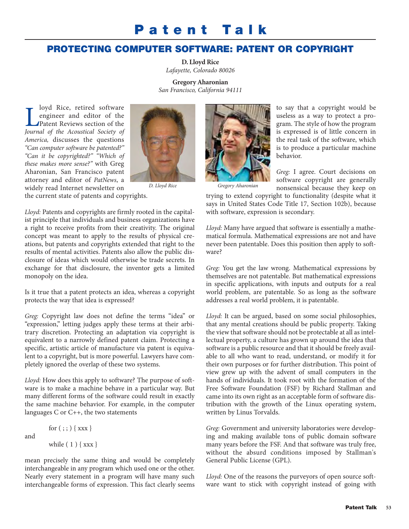## **Pa ten t Ta lk**

## **PROTECTING COMPUTER SOFTWARE: PATENT OR COPYRIGHT**

**D. Lloyd Rice** *Lafayette, Colorado 80026*

**Gregory Aharonian** *San Francisco, California 94111*

**Loyd Rice, retired software**<br> **Patent Reviews section of the<br>** *Journal of the Acoustical Society of* loyd Rice, retired software engineer and editor of the Patent Reviews section of the *America,* discusses the questions *"Can computer software be patented?" "Can it be copyrighted?" "Which of these makes more sense?"* with Greg Aharonian, San Francisco patent attorney and editor of *PatNews*, a widely read Internet newsletter on the current state of patents and copyrights.



*Lloyd:* Patents and copyrights are firmly rooted in the capitalist principle that individuals and business organizations have a right to receive profits from their creativity. The original concept was meant to apply to the results of physical creations, but patents and copyrights extended that right to the results of mental activities. Patents also allow the public dis-

closure of ideas which would otherwise be trade secrets. In exchange for that disclosure, the inventor gets a limited monopoly on the idea.

Is it true that a patent protects an idea, whereas a copyright protects the way that idea is expressed?

*Greg:* Copyright law does not define the terms "idea" or "expression," letting judges apply these terms at their arbitrary discretion. Protecting an adaptation via copyright is equivalent to a narrowly defined patent claim. Protecting a specific, artistic article of manufacture via patent is equivalent to a copyright, but is more powerful. Lawyers have completely ignored the overlap of these two systems.

*Lloyd:* How does this apply to software? The purpose of software is to make a machine behave in a particular way. But many different forms of the software could result in exactly the same machine behavior. For example, in the computer languages C or C++, the two statements

```
for ( ; ; ) { xxx }
while (1) { xxx }
```
and

mean precisely the same thing and would be completely interchangeable in any program which used one or the other. Nearly every statement in a program will have many such interchangeable forms of expression. This fact clearly seems



*D. Lloyd Rice Gregory Aharonian*

to say that a copyright would be useless as a way to protect a program. The style of how the program is expressed is of little concern in the real task of the software, which is to produce a particular machine behavior.

*Greg:* I agree. Court decisions on software copyright are generally nonsensical because they keep on

trying to extend copyright to functionality (despite what it says in United States Code Title 17, Section 102b), because with software, expression is secondary.

*Lloyd:* Many have argued that software is essentially a mathematical formula. Mathematical expressions are not and have never been patentable. Does this position then apply to software?

*Greg:* You get the law wrong. Mathematical expressions by themselves are not patentable. But mathematical expressions in specific applications, with inputs and outputs for a real world problem, are patentable. So as long as the software addresses a real world problem, it is patentable.

*Lloyd:* It can be argued, based on some social philosophies, that any mental creations should be public property. Taking the view that software should not be protectable at all as intellectual property, a culture has grown up around the idea that software is a public resource and that it should be freely available to all who want to read, understand, or modify it for their own purposes or for further distribution. This point of view grew up with the advent of small computers in the hands of individuals. It took root with the formation of the Free Software Foundation (FSF) by Richard Stallman and came into its own right as an acceptable form of software distribution with the growth of the Linux operating system, written by Linus Torvalds.

*Greg:* Government and university laboratories were developing and making available tons of public domain software many years before the FSF. And that software was truly free, without the absurd conditions imposed by Stallman's General Public License (GPL).

*Lloyd:* One of the reasons the purveyors of open source software want to stick with copyright instead of going with